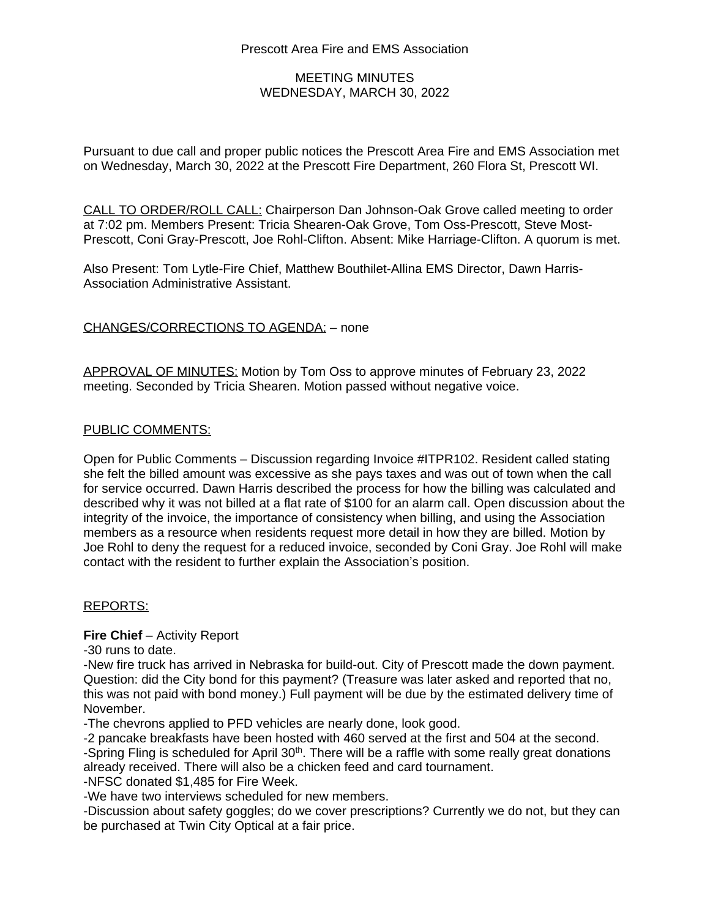# MEETING MINUTES WEDNESDAY, MARCH 30, 2022

Pursuant to due call and proper public notices the Prescott Area Fire and EMS Association met on Wednesday, March 30, 2022 at the Prescott Fire Department, 260 Flora St, Prescott WI.

CALL TO ORDER/ROLL CALL: Chairperson Dan Johnson-Oak Grove called meeting to order at 7:02 pm. Members Present: Tricia Shearen-Oak Grove, Tom Oss-Prescott, Steve Most-Prescott, Coni Gray-Prescott, Joe Rohl-Clifton. Absent: Mike Harriage-Clifton. A quorum is met.

Also Present: Tom Lytle-Fire Chief, Matthew Bouthilet-Allina EMS Director, Dawn Harris-Association Administrative Assistant.

## CHANGES/CORRECTIONS TO AGENDA: – none

APPROVAL OF MINUTES: Motion by Tom Oss to approve minutes of February 23, 2022 meeting. Seconded by Tricia Shearen. Motion passed without negative voice.

#### PUBLIC COMMENTS:

Open for Public Comments – Discussion regarding Invoice #ITPR102. Resident called stating she felt the billed amount was excessive as she pays taxes and was out of town when the call for service occurred. Dawn Harris described the process for how the billing was calculated and described why it was not billed at a flat rate of \$100 for an alarm call. Open discussion about the integrity of the invoice, the importance of consistency when billing, and using the Association members as a resource when residents request more detail in how they are billed. Motion by Joe Rohl to deny the request for a reduced invoice, seconded by Coni Gray. Joe Rohl will make contact with the resident to further explain the Association's position.

#### REPORTS:

#### **Fire Chief** – Activity Report

-30 runs to date.

-New fire truck has arrived in Nebraska for build-out. City of Prescott made the down payment. Question: did the City bond for this payment? (Treasure was later asked and reported that no, this was not paid with bond money.) Full payment will be due by the estimated delivery time of November.

-The chevrons applied to PFD vehicles are nearly done, look good.

-2 pancake breakfasts have been hosted with 460 served at the first and 504 at the second.

-Spring Fling is scheduled for April 30<sup>th</sup>. There will be a raffle with some really great donations already received. There will also be a chicken feed and card tournament.

-NFSC donated \$1,485 for Fire Week.

-We have two interviews scheduled for new members.

-Discussion about safety goggles; do we cover prescriptions? Currently we do not, but they can be purchased at Twin City Optical at a fair price.